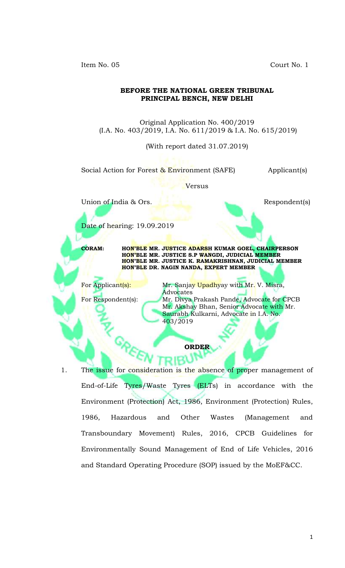Item No. 05 Court No. 1

## **BEFORE THE NATIONAL GREEN TRIBUNAL PRINCIPAL BENCH, NEW DELHI**

Original Application No. 400/2019 (I.A. No. 403/2019, I.A. No. 611/2019 & I.A. No. 615/2019)

(With report dated 31.07.2019)

Social Action for Forest & Environment (SAFE) Applicant(s)

Versus

Union of India & Ors. Respondent(s)

Date of hearing: 19.09.2019

**CORAM: HON'BLE MR. JUSTICE ADARSH KUMAR GOEL, CHAIRPERSON HON'BLE MR. JUSTICE S.P WANGDI, JUDICIAL MEMBER HON'BLE MR. JUSTICE K. RAMAKRISHNAN, JUDICIAL MEMBER HON'BLE DR. NAGIN NANDA, EXPERT MEMBER**

For Applicant(s): Mr. Sanjay Upadhyay with Mr. V. Misra, Advocates For Respondent(s): Mr. Divya Prakash Pande, Advocate for CPCB Mr. Akshay Bhan, Senior Advocate with Mr. Saurabh Kulkarni, Advocate in I.A. No.

**ORDER**

1. The issue for consideration is the absence of proper management of End-of-Life Tyres/Waste Tyres (ELTs) in accordance with the Environment (Protection) Act, 1986, Environment (Protection) Rules, 1986, Hazardous and Other Wastes (Management and Transboundary Movement) Rules, 2016, CPCB Guidelines for Environmentally Sound Management of End of Life Vehicles, 2016 and Standard Operating Procedure (SOP) issued by the MoEF&CC.

403/2019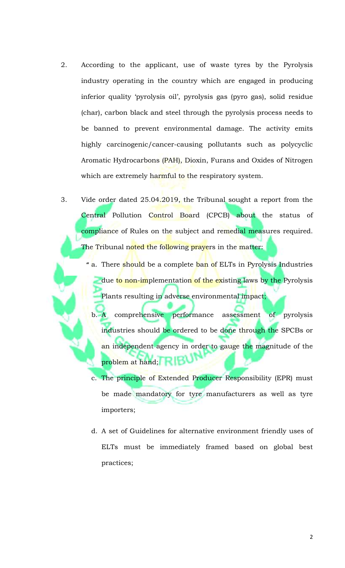- 2. According to the applicant, use of waste tyres by the Pyrolysis industry operating in the country which are engaged in producing inferior quality 'pyrolysis oil', pyrolysis gas (pyro gas), solid residue (char), carbon black and steel through the pyrolysis process needs to be banned to prevent environmental damage. The activity emits highly carcinogenic/cancer-causing pollutants such as polycyclic Aromatic Hydrocarbons (PAH), Dioxin, Furans and Oxides of Nitrogen which are extremely harmful to the respiratory system.
- 3. Vide order dated 25.04.2019, the Tribunal sought a report from the Central Pollution Control Board (CPCB) about the status of compliance of Rules on the subject and remedial measures required. The Tribunal noted the following prayers in the matter:
	- a. There should be a complete ban of ELTs in Pyrolysis Industries **"**due to non-implementation of the existing laws by the Pyrolysis Plants resulting in adverse environmental impact;
		- b. A comprehensive performance assessment of pyrolysis industries should be ordered to be done through the SPCBs or an independent agency in order to gauge the magnitude of the problem at hand; **Fig.**
		- c. The principle of Extended Producer Responsibility (EPR) must be made mandatory for tyre manufacturers as well as tyre importers;
		- d. A set of Guidelines for alternative environment friendly uses of ELTs must be immediately framed based on global best practices;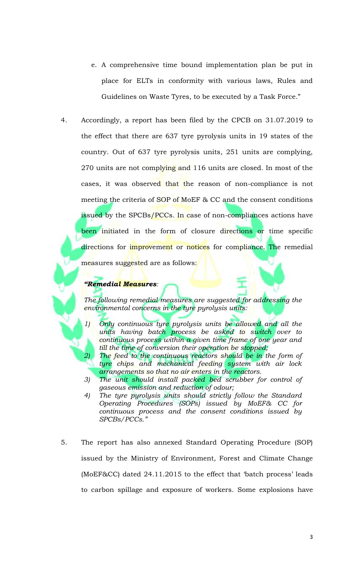- e. A comprehensive time bound implementation plan be put in place for ELTs in conformity with various laws, Rules and Guidelines on Waste Tyres, to be executed by a Task Force."
- 4. Accordingly, a report has been filed by the CPCB on 31.07.2019 to the effect that there are 637 tyre pyrolysis units in 19 states of the country. Out of 637 tyre pyrolysis units, 251 units are complying, 270 units are not complying and 116 units are closed. In most of the cases, it was observed that the reason of non-compliance is not meeting the criteria of SOP of MoEF & CC and the consent conditions issued by the SPCBs/PCCs. In case of non-compliances actions have been initiated in the form of closure directions or time specific directions for improvement or notices for compliance. The remedial measures sugg<mark>est</mark>ed are as follows: **s**

## *"Remedial Measures:*

*The following remedial measures are suggested for addressing the environmental concerns in the tyre pyrolysis units:* 

- *1) Only continuous tyre pyrolysis units be allowed and all the units having batch process be asked to switch over to continuous process within a given time frame of one year and till the time of conversion their operation be stopped;* 
	- The feed to the continuous reactors should be in the form of *tyre chips and mechanical feeding system with air lock arrangements so that no air enters in the reactors.*
- *3) The unit should install packed bed scrubber for control of gaseous emission and reduction of odour;*
- *4) The tyre pyrolysis units should strictly follow the Standard Operating Procedures (SOPs) issued by MoEF& CC for continuous process and the consent conditions issued by SPCBs/PCCs."*
- 5. The report has also annexed Standard Operating Procedure (SOP) issued by the Ministry of Environment, Forest and Climate Change (MoEF&CC) dated 24.11.2015 to the effect that 'batch process' leads to carbon spillage and exposure of workers. Some explosions have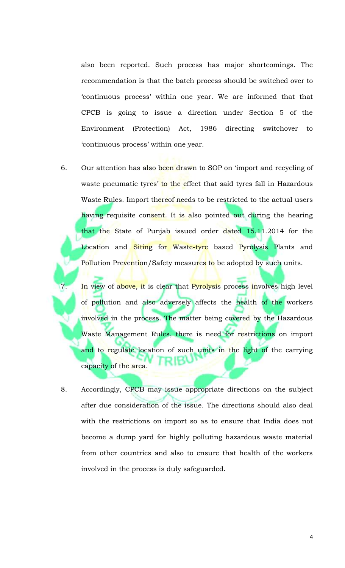also been reported. Such process has major shortcomings. The recommendation is that the batch process should be switched over to 'continuous process' within one year. We are informed that that CPCB is going to issue a direction under Section 5 of the Environment (Protection) Act, 1986 directing switchover to 'continuous process' within one year.

6. Our attention has also been drawn to SOP on 'import and recycling of waste pneumatic tyres' to the effect that said tyres fall in Hazardous Waste Rules. Import thereof needs to be restricted to the actual users having requisite consent. It is also pointed out during the hearing that the State of Punjab issued order dated 15.11.2014 for the Location and Siting for Waste-tyre based Pyrolysis Plants and Pollution Prevention/Safety measu<mark>res</mark> to be adopted by such units.

7. In view of above, it is clear that Pyrolysis process involves high level of pollution and also adversely affects the health of the workers involved in the process. The matter being covered by the Hazardous Waste Management Rules, there is need for restrictions on import and to regulate location of such units in the light of the carrying capacity of the area.

8. Accordingly, CPCB may issue appropriate directions on the subject after due consideration of the issue. The directions should also deal with the restrictions on import so as to ensure that India does not become a dump yard for highly polluting hazardous waste material from other countries and also to ensure that health of the workers involved in the process is duly safeguarded.